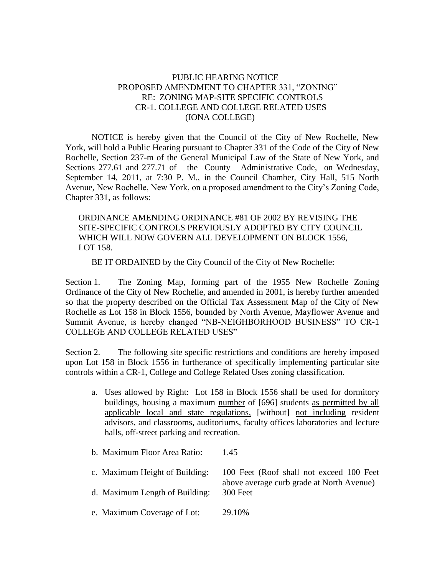## PUBLIC HEARING NOTICE PROPOSED AMENDMENT TO CHAPTER 331, "ZONING" RE: ZONING MAP-SITE SPECIFIC CONTROLS CR-1. COLLEGE AND COLLEGE RELATED USES (IONA COLLEGE)

NOTICE is hereby given that the Council of the City of New Rochelle, New York, will hold a Public Hearing pursuant to Chapter 331 of the Code of the City of New Rochelle, Section 237-m of the General Municipal Law of the State of New York, and Sections 277.61 and 277.71 of the County Administrative Code, on Wednesday, September 14, 2011, at 7:30 P. M., in the Council Chamber, City Hall, 515 North Avenue, New Rochelle, New York, on a proposed amendment to the City's Zoning Code, Chapter 331, as follows:

ORDINANCE AMENDING ORDINANCE #81 OF 2002 BY REVISING THE SITE-SPECIFIC CONTROLS PREVIOUSLY ADOPTED BY CITY COUNCIL WHICH WILL NOW GOVERN ALL DEVELOPMENT ON BLOCK 1556, LOT 158.

BE IT ORDAINED by the City Council of the City of New Rochelle:

Section 1. The Zoning Map, forming part of the 1955 New Rochelle Zoning Ordinance of the City of New Rochelle, and amended in 2001, is hereby further amended so that the property described on the Official Tax Assessment Map of the City of New Rochelle as Lot 158 in Block 1556, bounded by North Avenue, Mayflower Avenue and Summit Avenue, is hereby changed "NB-NEIGHBORHOOD BUSINESS" TO CR-1 COLLEGE AND COLLEGE RELATED USES"

Section 2. The following site specific restrictions and conditions are hereby imposed upon Lot 158 in Block 1556 in furtherance of specifically implementing particular site controls within a CR-1, College and College Related Uses zoning classification.

- a. Uses allowed by Right: Lot 158 in Block 1556 shall be used for dormitory buildings, housing a maximum number of [696] students as permitted by all applicable local and state regulations, [without] not including resident advisors, and classrooms, auditoriums, faculty offices laboratories and lecture halls, off-street parking and recreation.
- b. Maximum Floor Area Ratio: 1.45
- c. Maximum Height of Building: 100 Feet (Roof shall not exceed 100 Feet

above average curb grade at North Avenue)

- d. Maximum Length of Building: 300 Feet
- e. Maximum Coverage of Lot: 29.10%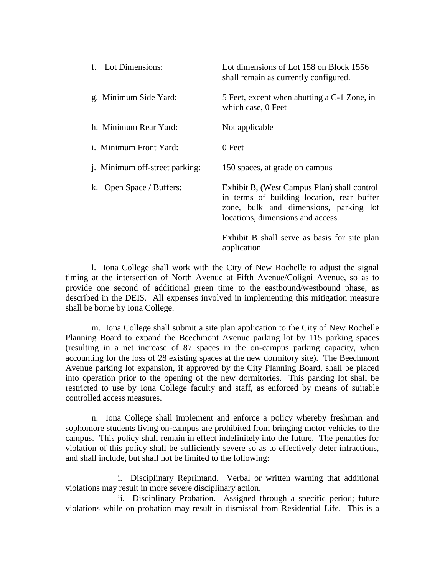| f. Lot Dimensions:                    | Lot dimensions of Lot 158 on Block 1556<br>shall remain as currently configured.                                                                                         |
|---------------------------------------|--------------------------------------------------------------------------------------------------------------------------------------------------------------------------|
| g. Minimum Side Yard:                 | 5 Feet, except when abutting a C-1 Zone, in<br>which case, 0 Feet                                                                                                        |
| h. Minimum Rear Yard:                 | Not applicable                                                                                                                                                           |
| <i>i.</i> Minimum Front Yard:         | 0 Feet                                                                                                                                                                   |
| <i>j.</i> Minimum off-street parking: | 150 spaces, at grade on campus                                                                                                                                           |
| k. Open Space / Buffers:              | Exhibit B, (West Campus Plan) shall control<br>in terms of building location, rear buffer<br>zone, bulk and dimensions, parking lot<br>locations, dimensions and access. |
|                                       | Exhibit B shall serve as basis for site plan<br>application                                                                                                              |

l. Iona College shall work with the City of New Rochelle to adjust the signal timing at the intersection of North Avenue at Fifth Avenue/Coligni Avenue, so as to provide one second of additional green time to the eastbound/westbound phase, as described in the DEIS. All expenses involved in implementing this mitigation measure shall be borne by Iona College.

m. Iona College shall submit a site plan application to the City of New Rochelle Planning Board to expand the Beechmont Avenue parking lot by 115 parking spaces (resulting in a net increase of 87 spaces in the on-campus parking capacity, when accounting for the loss of 28 existing spaces at the new dormitory site). The Beechmont Avenue parking lot expansion, if approved by the City Planning Board, shall be placed into operation prior to the opening of the new dormitories. This parking lot shall be restricted to use by Iona College faculty and staff, as enforced by means of suitable controlled access measures.

n. Iona College shall implement and enforce a policy whereby freshman and sophomore students living on-campus are prohibited from bringing motor vehicles to the campus. This policy shall remain in effect indefinitely into the future. The penalties for violation of this policy shall be sufficiently severe so as to effectively deter infractions, and shall include, but shall not be limited to the following:

i. Disciplinary Reprimand. Verbal or written warning that additional violations may result in more severe disciplinary action.

ii. Disciplinary Probation. Assigned through a specific period; future violations while on probation may result in dismissal from Residential Life. This is a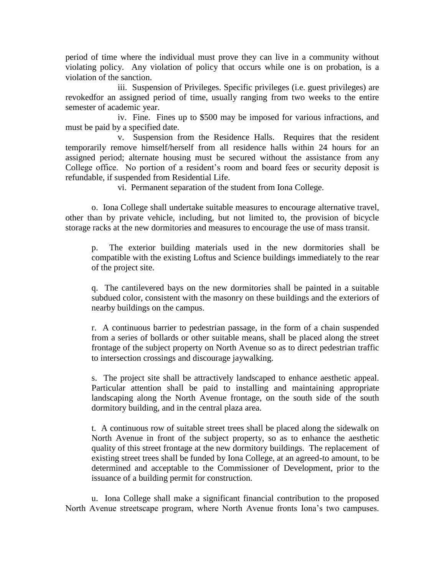period of time where the individual must prove they can live in a community without violating policy. Any violation of policy that occurs while one is on probation, is a violation of the sanction.

iii. Suspension of Privileges. Specific privileges (i.e. guest privileges) are revokedfor an assigned period of time, usually ranging from two weeks to the entire semester of academic year.

iv. Fine. Fines up to \$500 may be imposed for various infractions, and must be paid by a specified date.

v. Suspension from the Residence Halls. Requires that the resident temporarily remove himself/herself from all residence halls within 24 hours for an assigned period; alternate housing must be secured without the assistance from any College office. No portion of a resident's room and board fees or security deposit is refundable, if suspended from Residential Life.

vi. Permanent separation of the student from Iona College.

o. Iona College shall undertake suitable measures to encourage alternative travel, other than by private vehicle, including, but not limited to, the provision of bicycle storage racks at the new dormitories and measures to encourage the use of mass transit.

p. The exterior building materials used in the new dormitories shall be compatible with the existing Loftus and Science buildings immediately to the rear of the project site.

q. The cantilevered bays on the new dormitories shall be painted in a suitable subdued color, consistent with the masonry on these buildings and the exteriors of nearby buildings on the campus.

r. A continuous barrier to pedestrian passage, in the form of a chain suspended from a series of bollards or other suitable means, shall be placed along the street frontage of the subject property on North Avenue so as to direct pedestrian traffic to intersection crossings and discourage jaywalking.

s. The project site shall be attractively landscaped to enhance aesthetic appeal. Particular attention shall be paid to installing and maintaining appropriate landscaping along the North Avenue frontage, on the south side of the south dormitory building, and in the central plaza area.

t. A continuous row of suitable street trees shall be placed along the sidewalk on North Avenue in front of the subject property, so as to enhance the aesthetic quality of this street frontage at the new dormitory buildings. The replacement of existing street trees shall be funded by Iona College, at an agreed-to amount, to be determined and acceptable to the Commissioner of Development, prior to the issuance of a building permit for construction.

u. Iona College shall make a significant financial contribution to the proposed North Avenue streetscape program, where North Avenue fronts Iona's two campuses.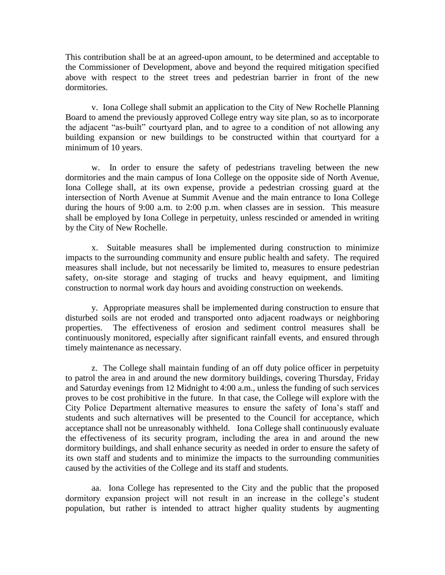This contribution shall be at an agreed-upon amount, to be determined and acceptable to the Commissioner of Development, above and beyond the required mitigation specified above with respect to the street trees and pedestrian barrier in front of the new dormitories.

v. Iona College shall submit an application to the City of New Rochelle Planning Board to amend the previously approved College entry way site plan, so as to incorporate the adjacent "as-built" courtyard plan, and to agree to a condition of not allowing any building expansion or new buildings to be constructed within that courtyard for a minimum of 10 years.

w. In order to ensure the safety of pedestrians traveling between the new dormitories and the main campus of Iona College on the opposite side of North Avenue, Iona College shall, at its own expense, provide a pedestrian crossing guard at the intersection of North Avenue at Summit Avenue and the main entrance to Iona College during the hours of 9:00 a.m. to 2:00 p.m. when classes are in session. This measure shall be employed by Iona College in perpetuity, unless rescinded or amended in writing by the City of New Rochelle.

x. Suitable measures shall be implemented during construction to minimize impacts to the surrounding community and ensure public health and safety. The required measures shall include, but not necessarily be limited to, measures to ensure pedestrian safety, on-site storage and staging of trucks and heavy equipment, and limiting construction to normal work day hours and avoiding construction on weekends.

y. Appropriate measures shall be implemented during construction to ensure that disturbed soils are not eroded and transported onto adjacent roadways or neighboring properties. The effectiveness of erosion and sediment control measures shall be continuously monitored, especially after significant rainfall events, and ensured through timely maintenance as necessary.

z. The College shall maintain funding of an off duty police officer in perpetuity to patrol the area in and around the new dormitory buildings, covering Thursday, Friday and Saturday evenings from 12 Midnight to 4:00 a.m., unless the funding of such services proves to be cost prohibitive in the future. In that case, the College will explore with the City Police Department alternative measures to ensure the safety of Iona's staff and students and such alternatives will be presented to the Council for acceptance, which acceptance shall not be unreasonably withheld.Iona College shall continuously evaluate the effectiveness of its security program, including the area in and around the new dormitory buildings, and shall enhance security as needed in order to ensure the safety of its own staff and students and to minimize the impacts to the surrounding communities caused by the activities of the College and its staff and students.

aa. Iona College has represented to the City and the public that the proposed dormitory expansion project will not result in an increase in the college's student population, but rather is intended to attract higher quality students by augmenting